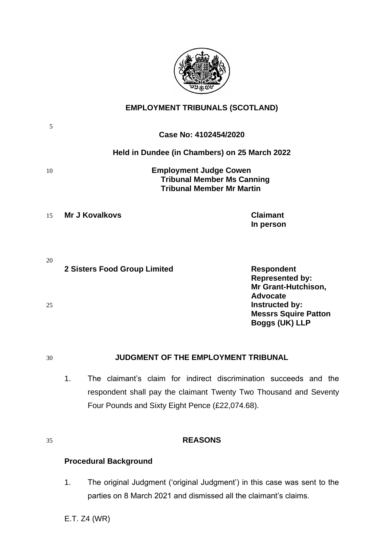

# **EMPLOYMENT TRIBUNALS (SCOTLAND)**

| 5  | Case No: 4102454/2020                                                                                  |                                                                                           |
|----|--------------------------------------------------------------------------------------------------------|-------------------------------------------------------------------------------------------|
|    | Held in Dundee (in Chambers) on 25 March 2022                                                          |                                                                                           |
| 10 | <b>Employment Judge Cowen</b><br><b>Tribunal Member Ms Canning</b><br><b>Tribunal Member Mr Martin</b> |                                                                                           |
| 15 | Mr J Kovalkovs                                                                                         | <b>Claimant</b><br>In person                                                              |
| 20 | 2 Sisters Food Group Limited                                                                           | <b>Respondent</b><br><b>Represented by:</b><br>Mr Grant-Hutchison,                        |
| 25 |                                                                                                        | <b>Advocate</b><br>Instructed by:<br><b>Messrs Squire Patton</b><br><b>Boggs (UK) LLP</b> |

## 30 **JUDGMENT OF THE EMPLOYMENT TRIBUNAL**

1. The claimant's claim for indirect discrimination succeeds and the respondent shall pay the claimant Twenty Two Thousand and Seventy Four Pounds and Sixty Eight Pence (£22,074.68).

## 35 **REASONS**

# **Procedural Background**

1. The original Judgment ('original Judgment') in this case was sent to the parties on 8 March 2021 and dismissed all the claimant's claims.

E.T. Z4 (WR)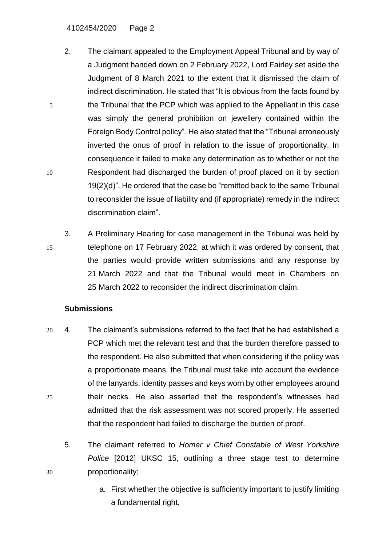4102454/2020 Page 2

- 2. The claimant appealed to the Employment Appeal Tribunal and by way of a Judgment handed down on 2 February 2022, Lord Fairley set aside the Judgment of 8 March 2021 to the extent that it dismissed the claim of indirect discrimination. He stated that "It is obvious from the facts found by 5 the Tribunal that the PCP which was applied to the Appellant in this case was simply the general prohibition on jewellery contained within the Foreign Body Control policy". He also stated that the "Tribunal erroneously inverted the onus of proof in relation to the issue of proportionality. In consequence it failed to make any determination as to whether or not the 10 Respondent had discharged the burden of proof placed on it by section 19(2)(d)". He ordered that the case be "remitted back to the same Tribunal to reconsider the issue of liability and (if appropriate) remedy in the indirect discrimination claim".
- 3. A Preliminary Hearing for case management in the Tribunal was held by 15 telephone on 17 February 2022, at which it was ordered by consent, that the parties would provide written submissions and any response by 21 March 2022 and that the Tribunal would meet in Chambers on 25 March 2022 to reconsider the indirect discrimination claim.

## **Submissions**

- 20 4. The claimant's submissions referred to the fact that he had established a PCP which met the relevant test and that the burden therefore passed to the respondent. He also submitted that when considering if the policy was a proportionate means, the Tribunal must take into account the evidence of the lanyards, identity passes and keys worn by other employees around 25 their necks. He also asserted that the respondent's witnesses had admitted that the risk assessment was not scored properly. He asserted that the respondent had failed to discharge the burden of proof.
- 5. The claimant referred to *Homer v Chief Constable of West Yorkshire Police* [2012] UKSC 15, outlining a three stage test to determine 30 proportionality;
	- a. First whether the objective is sufficiently important to justify limiting a fundamental right,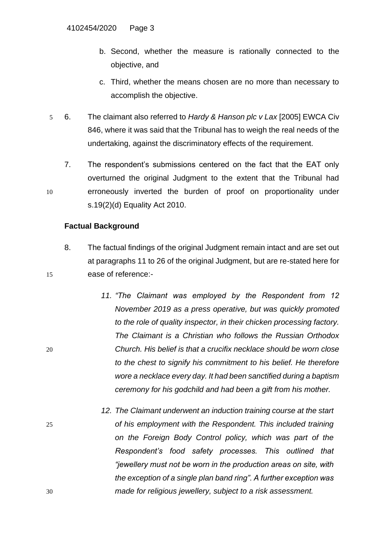- b. Second, whether the measure is rationally connected to the objective, and
- c. Third, whether the means chosen are no more than necessary to accomplish the objective.
- 5 6. The claimant also referred to *Hardy & Hanson plc v Lax* [2005] EWCA Civ 846, where it was said that the Tribunal has to weigh the real needs of the undertaking, against the discriminatory effects of the requirement.
- 7. The respondent's submissions centered on the fact that the EAT only overturned the original Judgment to the extent that the Tribunal had 10 erroneously inverted the burden of proof on proportionality under s.19(2)(d) Equality Act 2010.

## **Factual Background**

- 8. The factual findings of the original Judgment remain intact and are set out at paragraphs 11 to 26 of the original Judgment, but are re-stated here for 15 ease of reference:-
- *11. "The Claimant was employed by the Respondent from 12 November 2019 as a press operative, but was quickly promoted to the role of quality inspector, in their chicken processing factory. The Claimant is a Christian who follows the Russian Orthodox*  20 *Church. His belief is that a crucifix necklace should be worn close to the chest to signify his commitment to his belief. He therefore wore a necklace every day. It had been sanctified during a baptism ceremony for his godchild and had been a gift from his mother.*
- *12. The Claimant underwent an induction training course at the start*  25 *of his employment with the Respondent. This included training on the Foreign Body Control policy, which was part of the Respondent's food safety processes. This outlined that "jewellery must not be worn in the production areas on site, with the exception of a single plan band ring". A further exception was*  30 *made for religious jewellery, subject to a risk assessment.*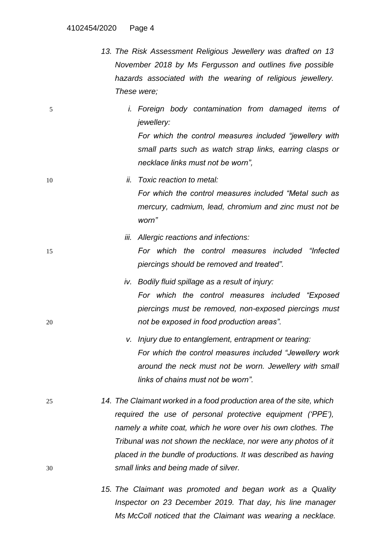- *13. The Risk Assessment Religious Jewellery was drafted on 13 November 2018 by Ms Fergusson and outlines five possible hazards associated with the wearing of religious jewellery. These were;*
- 5 *i. Foreign body contamination from damaged items of jewellery:*

*For which the control measures included "jewellery with small parts such as watch strap links, earring clasps or necklace links must not be worn",*

- 10 *ii. Toxic reaction to metal: For which the control measures included "Metal such as mercury, cadmium, lead, chromium and zinc must not be worn"*
- *iii. Allergic reactions and infections:* 15 *For which the control measures included "Infected piercings should be removed and treated".*
- *iv. Bodily fluid spillage as a result of injury: For which the control measures included "Exposed piercings must be removed, non-exposed piercings must*  20 *not be exposed in food production areas".*
	- *v. Injury due to entanglement, entrapment or tearing: For which the control measures included "Jewellery work around the neck must not be worn. Jewellery with small links of chains must not be worn".*
- 25 *14. The Claimant worked in a food production area of the site, which required the use of personal protective equipment ('PPE'), namely a white coat, which he wore over his own clothes. The Tribunal was not shown the necklace, nor were any photos of it placed in the bundle of productions. It was described as having*  30 *small links and being made of silver.* 
	- *15. The Claimant was promoted and began work as a Quality Inspector on 23 December 2019. That day, his line manager Ms McColl noticed that the Claimant was wearing a necklace.*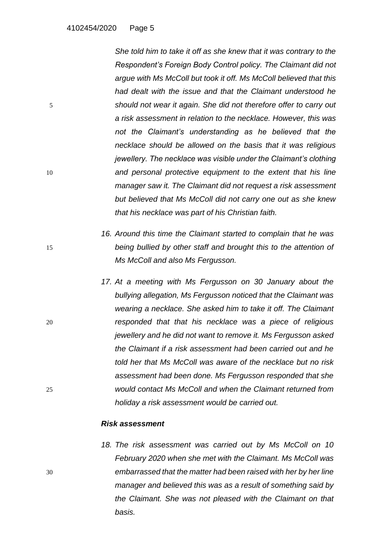*She told him to take it off as she knew that it was contrary to the Respondent's Foreign Body Control policy. The Claimant did not argue with Ms McColl but took it off. Ms McColl believed that this had dealt with the issue and that the Claimant understood he*  5 *should not wear it again. She did not therefore offer to carry out a risk assessment in relation to the necklace. However, this was not the Claimant's understanding as he believed that the necklace should be allowed on the basis that it was religious jewellery. The necklace was visible under the Claimant's clothing*  10 *and personal protective equipment to the extent that his line manager saw it. The Claimant did not request a risk assessment but believed that Ms McColl did not carry one out as she knew that his necklace was part of his Christian faith.*

- *16. Around this time the Claimant started to complain that he was*  15 *being bullied by other staff and brought this to the attention of Ms McColl and also Ms Fergusson.*
- *17. At a meeting with Ms Fergusson on 30 January about the bullying allegation, Ms Fergusson noticed that the Claimant was wearing a necklace. She asked him to take it off. The Claimant*  20 *responded that that his necklace was a piece of religious jewellery and he did not want to remove it. Ms Fergusson asked the Claimant if a risk assessment had been carried out and he told her that Ms McColl was aware of the necklace but no risk assessment had been done. Ms Fergusson responded that she*  25 *would contact Ms McColl and when the Claimant returned from holiday a risk assessment would be carried out.*

#### *Risk assessment*

*18. The risk assessment was carried out by Ms McColl on 10 February 2020 when she met with the Claimant. Ms McColl was*  30 *embarrassed that the matter had been raised with her by her line manager and believed this was as a result of something said by the Claimant. She was not pleased with the Claimant on that basis.*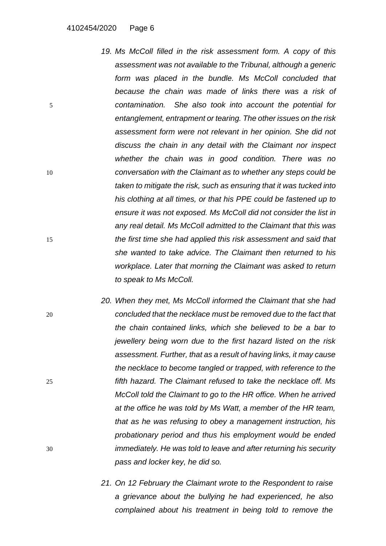- *19. Ms McColl filled in the risk assessment form. A copy of this assessment was not available to the Tribunal, although a generic form was placed in the bundle. Ms McColl concluded that because the chain was made of links there was a risk of*  5 *contamination. She also took into account the potential for entanglement, entrapment or tearing. The other issues on the risk assessment form were not relevant in her opinion. She did not discuss the chain in any detail with the Claimant nor inspect whether the chain was in good condition. There was no*  10 *conversation with the Claimant as to whether any steps could be taken to mitigate the risk, such as ensuring that it was tucked into his clothing at all times, or that his PPE could be fastened up to ensure it was not exposed. Ms McColl did not consider the list in any real detail. Ms McColl admitted to the Claimant that this was*  15 *the first time she had applied this risk assessment and said that she wanted to take advice. The Claimant then returned to his workplace. Later that morning the Claimant was asked to return to speak to Ms McColl.*
- *20. When they met, Ms McColl informed the Claimant that she had*  20 *concluded that the necklace must be removed due to the fact that the chain contained links, which she believed to be a bar to jewellery being worn due to the first hazard listed on the risk assessment. Further, that as a result of having links, it may cause the necklace to become tangled or trapped, with reference to the*  25 *fifth hazard. The Claimant refused to take the necklace off. Ms McColl told the Claimant to go to the HR office. When he arrived at the office he was told by Ms Watt, a member of the HR team, that as he was refusing to obey a management instruction, his probationary period and thus his employment would be ended*  30 *immediately. He was told to leave and after returning his security pass and locker key, he did so.*
	- *21. On 12 February the Claimant wrote to the Respondent to raise a grievance about the bullying he had experienced, he also complained about his treatment in being told to remove the*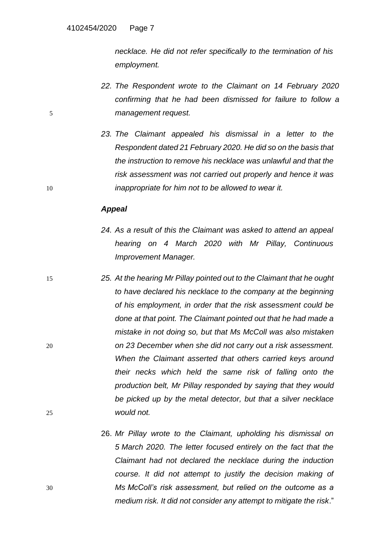*necklace. He did not refer specifically to the termination of his employment.*

- *22. The Respondent wrote to the Claimant on 14 February 2020 confirming that he had been dismissed for failure to follow a*  5 *management request.*
- *23. The Claimant appealed his dismissal in a letter to the Respondent dated 21 February 2020. He did so on the basis that the instruction to remove his necklace was unlawful and that the risk assessment was not carried out properly and hence it was*  10 *inappropriate for him not to be allowed to wear it.*

#### *Appeal*

- *24. As a result of this the Claimant was asked to attend an appeal hearing on 4 March 2020 with Mr Pillay, Continuous Improvement Manager.*
- 15 *25. At the hearing Mr Pillay pointed out to the Claimant that he ought to have declared his necklace to the company at the beginning of his employment, in order that the risk assessment could be done at that point. The Claimant pointed out that he had made a mistake in not doing so, but that Ms McColl was also mistaken*  20 *on 23 December when she did not carry out a risk assessment. When the Claimant asserted that others carried keys around their necks which held the same risk of falling onto the production belt, Mr Pillay responded by saying that they would be picked up by the metal detector, but that a silver necklace*  25 *would not.*
- 26. *Mr Pillay wrote to the Claimant, upholding his dismissal on 5 March 2020. The letter focused entirely on the fact that the Claimant had not declared the necklace during the induction course. It did not attempt to justify the decision making of*  30 *Ms McColl's risk assessment, but relied on the outcome as a medium risk. It did not consider any attempt to mitigate the risk*."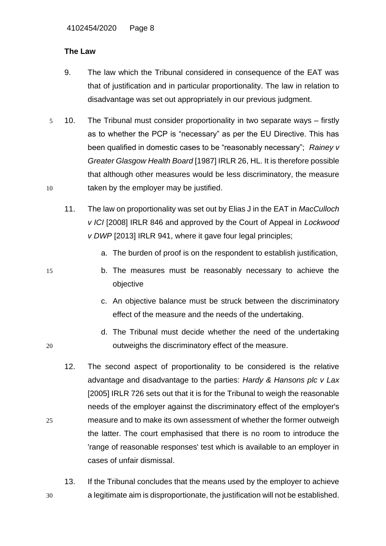# **The Law**

- 9. The law which the Tribunal considered in consequence of the EAT was that of justification and in particular proportionality. The law in relation to disadvantage was set out appropriately in our previous judgment.
- 5 10. The Tribunal must consider proportionality in two separate ways firstly as to whether the PCP is "necessary" as per the EU Directive. This has been qualified in domestic cases to be "reasonably necessary"; *Rainey v Greater Glasgow Health Board* [\[1987\] IRLR 26,](https://www.lexisnexis.com/uk/legal/search/enhRunRemoteLink.do?linkInfo=F%23GB%23IRLR%23sel1%251987%25year%251987%25page%2526%25&A=0.6764513049824513&backKey=20_T539743661&service=citation&ersKey=23_T539743660&langcountry=GB) HL. It is therefore possible that although other measures would be less discriminatory, the measure 10 taken by the employer may be justified.
	- 11. The law on proportionality was set out by Elias J in the EAT in *MacCulloch v ICI* [2008] IRLR 846 and approved by the Court of Appeal in *Lockwood v DWP* [2013] IRLR 941, where it gave four legal principles;
		- a. The burden of proof is on the respondent to establish justification,
- 15 b. The measures must be reasonably necessary to achieve the objective
	- c. An objective balance must be struck between the discriminatory effect of the measure and the needs of the undertaking.
- d. The Tribunal must decide whether the need of the undertaking 20 outweighs the discriminatory effect of the measure.
- 12. The second aspect of proportionality to be considered is the relative advantage and disadvantage to the parties: *Hardy & Hansons plc v Lax* [2005] IRLR 726 sets out that it is for the Tribunal to weigh the reasonable needs of the employer against the discriminatory effect of the employer's 25 measure and to make its own assessment of whether the former outweigh the latter. The court emphasised that there is no room to introduce the 'range of reasonable responses' test which is available to an employer in cases of unfair dismissal.
- 13. If the Tribunal concludes that the means used by the employer to achieve 30 a legitimate aim is disproportionate, the justification will not be established.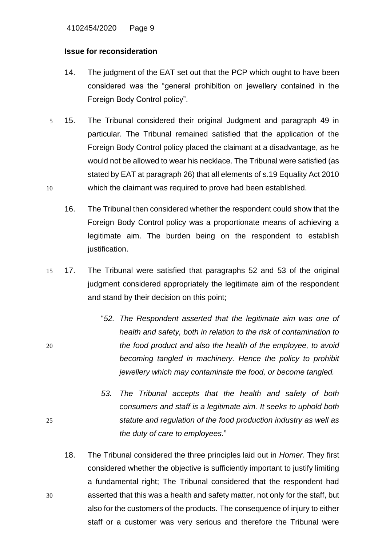4102454/2020 Page 9

#### **Issue for reconsideration**

- 14. The judgment of the EAT set out that the PCP which ought to have been considered was the "general prohibition on jewellery contained in the Foreign Body Control policy".
- 5 15. The Tribunal considered their original Judgment and paragraph 49 in particular. The Tribunal remained satisfied that the application of the Foreign Body Control policy placed the claimant at a disadvantage, as he would not be allowed to wear his necklace. The Tribunal were satisfied (as stated by EAT at paragraph 26) that all elements of s.19 Equality Act 2010 10 which the claimant was required to prove had been established.
	- 16. The Tribunal then considered whether the respondent could show that the Foreign Body Control policy was a proportionate means of achieving a legitimate aim. The burden being on the respondent to establish justification.
- 15 17. The Tribunal were satisfied that paragraphs 52 and 53 of the original judgment considered appropriately the legitimate aim of the respondent and stand by their decision on this point;
- "*52. The Respondent asserted that the legitimate aim was one of health and safety, both in relation to the risk of contamination to*  20 *the food product and also the health of the employee, to avoid becoming tangled in machinery. Hence the policy to prohibit jewellery which may contaminate the food, or become tangled.*
- *53. The Tribunal accepts that the health and safety of both consumers and staff is a legitimate aim. It seeks to uphold both*  25 *statute and regulation of the food production industry as well as the duty of care to employees.*"
- 18. The Tribunal considered the three principles laid out in *Homer.* They first considered whether the objective is sufficiently important to justify limiting a fundamental right; The Tribunal considered that the respondent had 30 asserted that this was a health and safety matter, not only for the staff, but also for the customers of the products. The consequence of injury to either staff or a customer was very serious and therefore the Tribunal were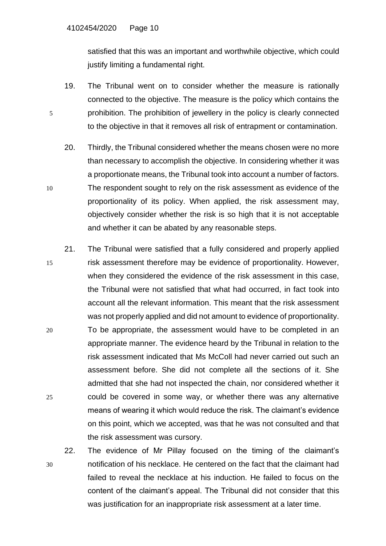satisfied that this was an important and worthwhile objective, which could justify limiting a fundamental right.

- 19. The Tribunal went on to consider whether the measure is rationally connected to the objective. The measure is the policy which contains the 5 prohibition. The prohibition of jewellery in the policy is clearly connected to the objective in that it removes all risk of entrapment or contamination.
- 20. Thirdly, the Tribunal considered whether the means chosen were no more than necessary to accomplish the objective. In considering whether it was a proportionate means, the Tribunal took into account a number of factors. 10 The respondent sought to rely on the risk assessment as evidence of the proportionality of its policy. When applied, the risk assessment may, objectively consider whether the risk is so high that it is not acceptable and whether it can be abated by any reasonable steps.
- 21. The Tribunal were satisfied that a fully considered and properly applied 15 risk assessment therefore may be evidence of proportionality. However, when they considered the evidence of the risk assessment in this case, the Tribunal were not satisfied that what had occurred, in fact took into account all the relevant information. This meant that the risk assessment was not properly applied and did not amount to evidence of proportionality. 20 To be appropriate, the assessment would have to be completed in an appropriate manner. The evidence heard by the Tribunal in relation to the
- risk assessment indicated that Ms McColl had never carried out such an assessment before. She did not complete all the sections of it. She admitted that she had not inspected the chain, nor considered whether it 25 could be covered in some way, or whether there was any alternative means of wearing it which would reduce the risk. The claimant's evidence on this point, which we accepted, was that he was not consulted and that the risk assessment was cursory.
- 22. The evidence of Mr Pillay focused on the timing of the claimant's 30 notification of his necklace. He centered on the fact that the claimant had failed to reveal the necklace at his induction. He failed to focus on the content of the claimant's appeal. The Tribunal did not consider that this was justification for an inappropriate risk assessment at a later time.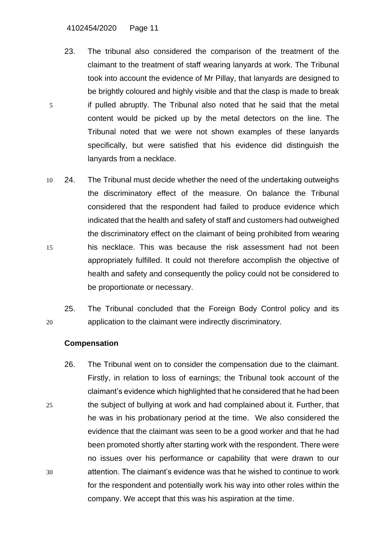- 23. The tribunal also considered the comparison of the treatment of the claimant to the treatment of staff wearing lanyards at work. The Tribunal took into account the evidence of Mr Pillay, that lanyards are designed to be brightly coloured and highly visible and that the clasp is made to break 5 if pulled abruptly. The Tribunal also noted that he said that the metal content would be picked up by the metal detectors on the line. The Tribunal noted that we were not shown examples of these lanyards specifically, but were satisfied that his evidence did distinguish the lanyards from a necklace.
- 10 24. The Tribunal must decide whether the need of the undertaking outweighs the discriminatory effect of the measure. On balance the Tribunal considered that the respondent had failed to produce evidence which indicated that the health and safety of staff and customers had outweighed the discriminatory effect on the claimant of being prohibited from wearing 15 his necklace. This was because the risk assessment had not been appropriately fulfilled. It could not therefore accomplish the objective of health and safety and consequently the policy could not be considered to be proportionate or necessary.
- 25. The Tribunal concluded that the Foreign Body Control policy and its 20 application to the claimant were indirectly discriminatory.

## **Compensation**

26. The Tribunal went on to consider the compensation due to the claimant. Firstly, in relation to loss of earnings; the Tribunal took account of the claimant's evidence which highlighted that he considered that he had been 25 the subject of bullying at work and had complained about it. Further, that he was in his probationary period at the time. We also considered the evidence that the claimant was seen to be a good worker and that he had been promoted shortly after starting work with the respondent. There were no issues over his performance or capability that were drawn to our 30 attention. The claimant's evidence was that he wished to continue to work for the respondent and potentially work his way into other roles within the company. We accept that this was his aspiration at the time.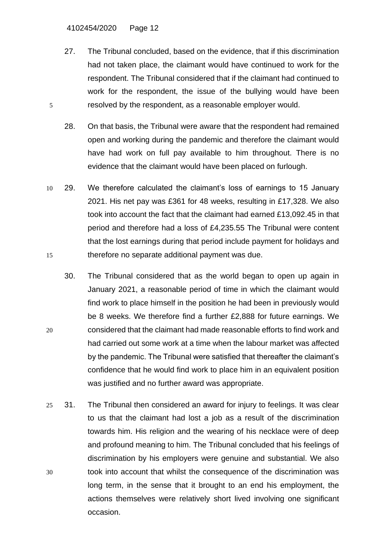- 27. The Tribunal concluded, based on the evidence, that if this discrimination had not taken place, the claimant would have continued to work for the respondent. The Tribunal considered that if the claimant had continued to work for the respondent, the issue of the bullying would have been 5 resolved by the respondent, as a reasonable employer would.
	- 28. On that basis, the Tribunal were aware that the respondent had remained open and working during the pandemic and therefore the claimant would have had work on full pay available to him throughout. There is no evidence that the claimant would have been placed on furlough.
- 10 29. We therefore calculated the claimant's loss of earnings to 15 January 2021. His net pay was £361 for 48 weeks, resulting in £17,328. We also took into account the fact that the claimant had earned £13,092.45 in that period and therefore had a loss of £4,235.55 The Tribunal were content that the lost earnings during that period include payment for holidays and 15 therefore no separate additional payment was due.
- 30. The Tribunal considered that as the world began to open up again in January 2021, a reasonable period of time in which the claimant would find work to place himself in the position he had been in previously would be 8 weeks. We therefore find a further £2,888 for future earnings. We 20 considered that the claimant had made reasonable efforts to find work and had carried out some work at a time when the labour market was affected by the pandemic. The Tribunal were satisfied that thereafter the claimant's confidence that he would find work to place him in an equivalent position was justified and no further award was appropriate.
- 25 31. The Tribunal then considered an award for injury to feelings. It was clear to us that the claimant had lost a job as a result of the discrimination towards him. His religion and the wearing of his necklace were of deep and profound meaning to him. The Tribunal concluded that his feelings of discrimination by his employers were genuine and substantial. We also 30 took into account that whilst the consequence of the discrimination was long term, in the sense that it brought to an end his employment, the actions themselves were relatively short lived involving one significant occasion.